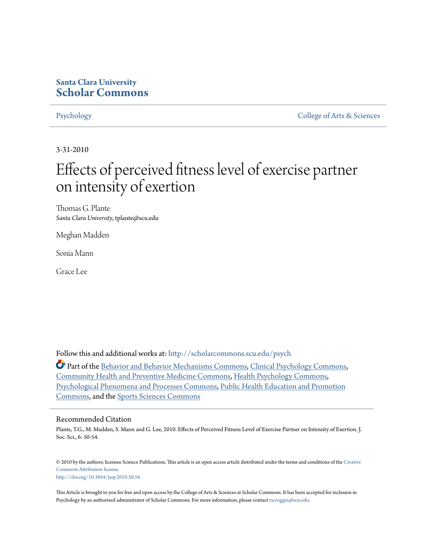## **Santa Clara University [Scholar Commons](http://scholarcommons.scu.edu?utm_source=scholarcommons.scu.edu%2Fpsych%2F33&utm_medium=PDF&utm_campaign=PDFCoverPages)**

[Psychology](http://scholarcommons.scu.edu/psych?utm_source=scholarcommons.scu.edu%2Fpsych%2F33&utm_medium=PDF&utm_campaign=PDFCoverPages) [College of Arts & Sciences](http://scholarcommons.scu.edu/cas?utm_source=scholarcommons.scu.edu%2Fpsych%2F33&utm_medium=PDF&utm_campaign=PDFCoverPages)

### 3-31-2010

# Effects of perceived fitness level of exercise partner on intensity of exertion

Thomas G. Plante *Santa Clara University*, tplante@scu.edu

Meghan Madden

Sonia Mann

Grace Lee

Follow this and additional works at: [http://scholarcommons.scu.edu/psych](http://scholarcommons.scu.edu/psych?utm_source=scholarcommons.scu.edu%2Fpsych%2F33&utm_medium=PDF&utm_campaign=PDFCoverPages)

Part of the [Behavior and Behavior Mechanisms Commons,](http://network.bepress.com/hgg/discipline/963?utm_source=scholarcommons.scu.edu%2Fpsych%2F33&utm_medium=PDF&utm_campaign=PDFCoverPages) [Clinical Psychology Commons](http://network.bepress.com/hgg/discipline/406?utm_source=scholarcommons.scu.edu%2Fpsych%2F33&utm_medium=PDF&utm_campaign=PDFCoverPages), [Community Health and Preventive Medicine Commons](http://network.bepress.com/hgg/discipline/744?utm_source=scholarcommons.scu.edu%2Fpsych%2F33&utm_medium=PDF&utm_campaign=PDFCoverPages), [Health Psychology Commons](http://network.bepress.com/hgg/discipline/411?utm_source=scholarcommons.scu.edu%2Fpsych%2F33&utm_medium=PDF&utm_campaign=PDFCoverPages), [Psychological Phenomena and Processes Commons](http://network.bepress.com/hgg/discipline/914?utm_source=scholarcommons.scu.edu%2Fpsych%2F33&utm_medium=PDF&utm_campaign=PDFCoverPages), [Public Health Education and Promotion](http://network.bepress.com/hgg/discipline/743?utm_source=scholarcommons.scu.edu%2Fpsych%2F33&utm_medium=PDF&utm_campaign=PDFCoverPages) [Commons,](http://network.bepress.com/hgg/discipline/743?utm_source=scholarcommons.scu.edu%2Fpsych%2F33&utm_medium=PDF&utm_campaign=PDFCoverPages) and the [Sports Sciences Commons](http://network.bepress.com/hgg/discipline/759?utm_source=scholarcommons.scu.edu%2Fpsych%2F33&utm_medium=PDF&utm_campaign=PDFCoverPages)

#### Recommended Citation

Plante, T.G., M. Madden, S. Mann and G. Lee, 2010. Effects of Perceived Fitness Level of Exercise Partner on Intensity of Exertion. J. Soc. Sci., 6: 50-54.

© 2010 by the authors; licensee Science Publications. This article is an open access article distributed under the terms and conditions of the [Creative](http://creativecommons.org/licenses/by/3.0/) [Commons Attribution license](http://creativecommons.org/licenses/by/3.0/). <http://doi.org/10.3844/jssp.2010.50.54>

This Article is brought to you for free and open access by the College of Arts & Sciences at Scholar Commons. It has been accepted for inclusion in Psychology by an authorized administrator of Scholar Commons. For more information, please contact [rscroggin@scu.edu](mailto:rscroggin@scu.edu).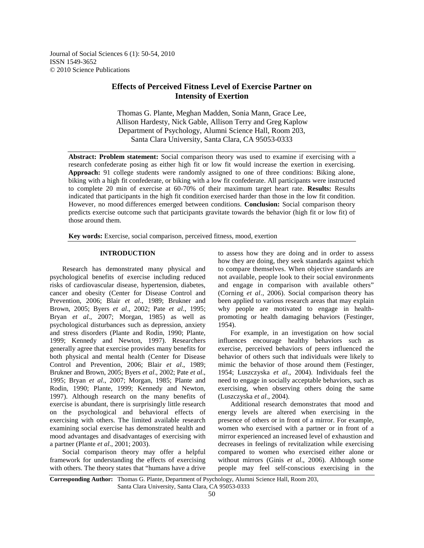Journal of Social Sciences 6 (1): 50-54, 2010 ISSN 1549-3652 © 2010 Science Publications

#### **Effects of Perceived Fitness Level of Exercise Partner on Intensity of Exertion**

Thomas G. Plante, Meghan Madden, Sonia Mann, Grace Lee, Allison Hardesty, Nick Gable, Allison Terry and Greg Kaplow Department of Psychology, Alumni Science Hall, Room 203, Santa Clara University, Santa Clara, CA 95053-0333

**Abstract: Problem statement:** Social comparison theory was used to examine if exercising with a research confederate posing as either high fit or low fit would increase the exertion in exercising. **Approach:** 91 college students were randomly assigned to one of three conditions: Biking alone, biking with a high fit confederate, or biking with a low fit confederate. All participants were instructed to complete 20 min of exercise at 60-70% of their maximum target heart rate. **Results:** Results indicated that participants in the high fit condition exercised harder than those in the low fit condition. However, no mood differences emerged between conditions. **Conclusion:** Social comparison theory predicts exercise outcome such that participants gravitate towards the behavior (high fit or low fit) of those around them.

**Key words:** Exercise, social comparison, perceived fitness, mood, exertion

#### **INTRODUCTION**

 Research has demonstrated many physical and psychological benefits of exercise including reduced risks of cardiovascular disease, hypertension, diabetes, cancer and obesity (Center for Disease Control and Prevention, 2006; Blair *et al*., 1989; Brukner and Brown, 2005; Byers *et al*., 2002; Pate *et al*., 1995; Bryan *et al*., 2007; Morgan, 1985) as well as psychological disturbances such as depression, anxiety and stress disorders (Plante and Rodin, 1990; Plante, 1999; Kennedy and Newton, 1997). Researchers generally agree that exercise provides many benefits for both physical and mental health (Center for Disease Control and Prevention, 2006; Blair *et al*., 1989; Brukner and Brown, 2005; Byers *et al*., 2002; Pate *et al*., 1995; Bryan *et al*., 2007; Morgan, 1985; Plante and Rodin, 1990; Plante, 1999; Kennedy and Newton, 1997). Although research on the many benefits of exercise is abundant, there is surprisingly little research on the psychological and behavioral effects of exercising with others. The limited available research examining social exercise has demonstrated health and mood advantages and disadvantages of exercising with a partner (Plante *et al*., 2001; 2003).

 Social comparison theory may offer a helpful framework for understanding the effects of exercising with others. The theory states that "humans have a drive

to assess how they are doing and in order to assess how they are doing, they seek standards against which to compare themselves. When objective standards are not available, people look to their social environments and engage in comparison with available others" (Corning *et al*., 2006). Social comparison theory has been applied to various research areas that may explain why people are motivated to engage in healthpromoting or health damaging behaviors (Festinger, 1954).

 For example, in an investigation on how social influences encourage healthy behaviors such as exercise, perceived behaviors of peers influenced the behavior of others such that individuals were likely to mimic the behavior of those around them (Festinger, 1954; Luszczyska *et al*., 2004). Individuals feel the need to engage in socially acceptable behaviors, such as exercising, when observing others doing the same (Luszczyska *et al*., 2004).

 Additional research demonstrates that mood and energy levels are altered when exercising in the presence of others or in front of a mirror. For example, women who exercised with a partner or in front of a mirror experienced an increased level of exhaustion and decreases in feelings of revitalization while exercising compared to women who exercised either alone or without mirrors (Ginis *et al*., 2006). Although some people may feel self-conscious exercising in the

**Corresponding Author:** Thomas G. Plante, Department of Psychology, Alumni Science Hall, Room 203, Santa Clara University, Santa Clara, CA 95053-0333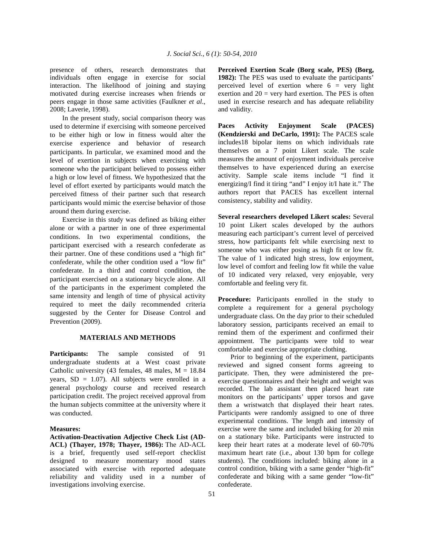presence of others, research demonstrates that individuals often engage in exercise for social interaction. The likelihood of joining and staying motivated during exercise increases when friends or peers engage in those same activities (Faulkner *et al*., 2008; Laverie, 1998).

 In the present study, social comparison theory was used to determine if exercising with someone perceived to be either high or low in fitness would alter the exercise experience and behavior of research participants. In particular, we examined mood and the level of exertion in subjects when exercising with someone who the participant believed to possess either a high or low level of fitness. We hypothesized that the level of effort exerted by participants would match the perceived fitness of their partner such that research participants would mimic the exercise behavior of those around them during exercise.

 Exercise in this study was defined as biking either alone or with a partner in one of three experimental conditions. In two experimental conditions, the participant exercised with a research confederate as their partner. One of these conditions used a "high fit" confederate, while the other condition used a "low fit" confederate. In a third and control condition, the participant exercised on a stationary bicycle alone. All of the participants in the experiment completed the same intensity and length of time of physical activity required to meet the daily recommended criteria suggested by the Center for Disease Control and Prevention (2009).

#### **MATERIALS AND METHODS**

Participants: The sample consisted of 91 undergraduate students at a West coast private Catholic university (43 females, 48 males,  $M = 18.84$ years,  $SD = 1.07$ ). All subjects were enrolled in a general psychology course and received research participation credit. The project received approval from the human subjects committee at the university where it was conducted.

#### **Measures:**

**Activation-Deactivation Adjective Check List (AD-ACL) (Thayer, 1978; Thayer, 1986):** The AD-ACL is a brief, frequently used self-report checklist designed to measure momentary mood states associated with exercise with reported adequate reliability and validity used in a number of investigations involving exercise.

**Perceived Exertion Scale (Borg scale, PES) (Borg, 1982):** The PES was used to evaluate the participants' perceived level of exertion where  $6 = \text{very light}$ exertion and  $20 = \text{very hard execution}$ . The PES is often used in exercise research and has adequate reliability and validity.

**Paces Activity Enjoyment Scale (PACES) (Kendzierski and DeCarlo, 1991):** The PACES scale includes18 bipolar items on which individuals rate themselves on a 7 point Likert scale. The scale measures the amount of enjoyment individuals perceive themselves to have experienced during an exercise activity. Sample scale items include "I find it energizing/I find it tiring "and" I enjoy it/I hate it." The authors report that PACES has excellent internal consistency, stability and validity.

**Several researchers developed Likert scales:** Several 10 point Likert scales developed by the authors measuring each participant's current level of perceived stress, how participants felt while exercising next to someone who was either posing as high fit or low fit. The value of 1 indicated high stress, low enjoyment, low level of comfort and feeling low fit while the value of 10 indicated very relaxed, very enjoyable, very comfortable and feeling very fit.

**Procedure:** Participants enrolled in the study to complete a requirement for a general psychology undergraduate class. On the day prior to their scheduled laboratory session, participants received an email to remind them of the experiment and confirmed their appointment. The participants were told to wear comfortable and exercise appropriate clothing.

 Prior to beginning of the experiment, participants reviewed and signed consent forms agreeing to participate. Then, they were administered the preexercise questionnaires and their height and weight was recorded. The lab assistant then placed heart rate monitors on the participants' upper torsos and gave them a wristwatch that displayed their heart rates. Participants were randomly assigned to one of three experimental conditions. The length and intensity of exercise were the same and included biking for 20 min on a stationary bike. Participants were instructed to keep their heart rates at a moderate level of 60-70% maximum heart rate (i.e., about 130 bpm for college students). The conditions included: biking alone in a control condition, biking with a same gender "high-fit" confederate and biking with a same gender "low-fit" confederate.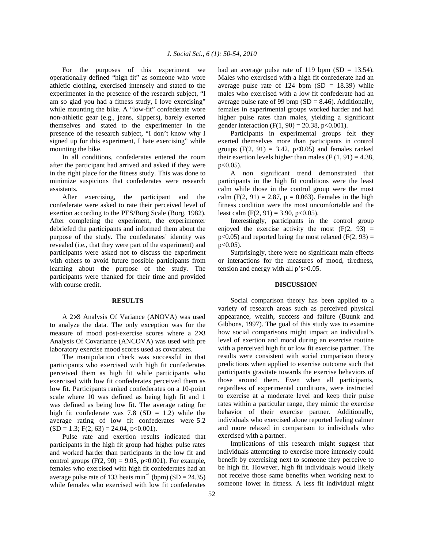For the purposes of this experiment we operationally defined "high fit" as someone who wore athletic clothing, exercised intensely and stated to the experimenter in the presence of the research subject, "I am so glad you had a fitness study, I love exercising" while mounting the bike. A "low-fit" confederate wore non-athletic gear (e.g., jeans, slippers), barely exerted themselves and stated to the experimenter in the presence of the research subject, "I don't know why I signed up for this experiment, I hate exercising" while mounting the bike.

 In all conditions, confederates entered the room after the participant had arrived and asked if they were in the right place for the fitness study. This was done to minimize suspicions that confederates were research assistants.

 After exercising, the participant and the confederate were asked to rate their perceived level of exertion according to the PES/Borg Scale (Borg, 1982). After completing the experiment, the experimenter debriefed the participants and informed them about the purpose of the study. The confederates' identity was revealed (i.e., that they were part of the experiment) and participants were asked not to discuss the experiment with others to avoid future possible participants from learning about the purpose of the study. The participants were thanked for their time and provided with course credit.

#### **RESULTS**

 A 2×3 Analysis Of Variance (ANOVA) was used to analyze the data. The only exception was for the measure of mood post-exercise scores where a 2×3 Analysis Of Covariance (ANCOVA) was used with pre laboratory exercise mood scores used as covariates.

 The manipulation check was successful in that participants who exercised with high fit confederates perceived them as high fit while participants who exercised with low fit confederates perceived them as low fit. Participants ranked confederates on a 10-point scale where 10 was defined as being high fit and 1 was defined as being low fit. The average rating for high fit confederate was  $7.8$  (SD = 1.2) while the average rating of low fit confederates were 5.2  $(SD = 1.3; F(2, 63) = 24.04, p<0.001)$ .

 Pulse rate and exertion results indicated that participants in the high fit group had higher pulse rates and worked harder than participants in the low fit and control groups  $(F(2, 90) = 9.05, p < 0.001)$ . For example, females who exercised with high fit confederates had an average pulse rate of 133 beats min<sup>-1</sup> (bpm)  $(SD = 24.35)$ while females who exercised with low fit confederates

had an average pulse rate of 119 bpm  $(SD = 13.54)$ . Males who exercised with a high fit confederate had an average pulse rate of 124 bpm  $(SD = 18.39)$  while males who exercised with a low fit confederate had an average pulse rate of 99 bmp  $(SD = 8.46)$ . Additionally, females in experimental groups worked harder and had higher pulse rates than males, yielding a significant gender interaction  $(F(1, 90) = 20.38, p < 0.001)$ .

 Participants in experimental groups felt they exerted themselves more than participants in control groups  $(F(2, 91) = 3.42, p<0.05)$  and females ranked their exertion levels higher than males  $(F (1, 91) = 4.38$ ,  $p < 0.05$ ).

 A non significant trend demonstrated that participants in the high fit conditions were the least calm while those in the control group were the most calm  $(F(2, 91) = 2.87, p = 0.063)$ . Females in the high fitness condition were the most uncomfortable and the least calm (F(2, 91) = 3.90, p<0.05).

 Interestingly, participants in the control group enjoyed the exercise activity the most  $(F(2, 93) =$  $p<0.05$ ) and reported being the most relaxed (F(2, 93) =  $p < 0.05$ ).

 Surprisingly, there were no significant main effects or interactions for the measures of mood, tiredness, tension and energy with all p's>0.05.

#### **DISCUSSION**

 Social comparison theory has been applied to a variety of research areas such as perceived physical appearance, wealth, success and failure (Buunk and Gibbons, 1997). The goal of this study was to examine how social comparisons might impact an individual's level of exertion and mood during an exercise routine with a perceived high fit or low fit exercise partner. The results were consistent with social comparison theory predictions when applied to exercise outcome such that participants gravitate towards the exercise behaviors of those around them. Even when all participants, regardless of experimental conditions, were instructed to exercise at a moderate level and keep their pulse rates within a particular range, they mimic the exercise behavior of their exercise partner. Additionally, individuals who exercised alone reported feeling calmer and more relaxed in comparison to individuals who exercised with a partner.

 Implications of this research might suggest that individuals attempting to exercise more intensely could benefit by exercising next to someone they perceive to be high fit. However, high fit individuals would likely not receive those same benefits when working next to someone lower in fitness. A less fit individual might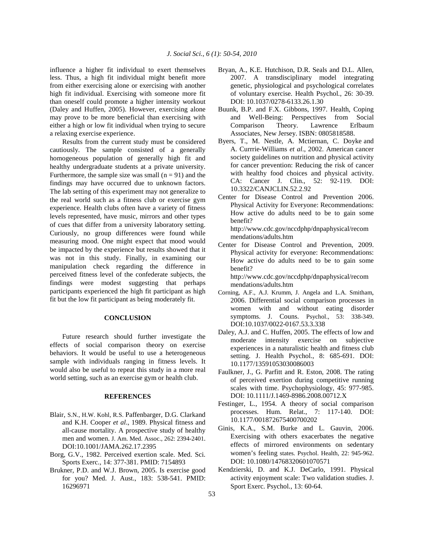influence a higher fit individual to exert themselves less. Thus, a high fit individual might benefit more from either exercising alone or exercising with another high fit individual. Exercising with someone more fit than oneself could promote a higher intensity workout (Daley and Huffen, 2005). However, exercising alone may prove to be more beneficial than exercising with either a high or low fit individual when trying to secure a relaxing exercise experience.

 Results from the current study must be considered cautiously. The sample consisted of a generally homogeneous population of generally high fit and healthy undergraduate students at a private university. Furthermore, the sample size was small  $(n = 91)$  and the findings may have occurred due to unknown factors. The lab setting of this experiment may not generalize to the real world such as a fitness club or exercise gym experience. Health clubs often have a variety of fitness levels represented, have music, mirrors and other types of cues that differ from a university laboratory setting. Curiously, no group differences were found while measuring mood. One might expect that mood would be impacted by the experience but results showed that it was not in this study. Finally, in examining our manipulation check regarding the difference in perceived fitness level of the confederate subjects, the findings were modest suggesting that perhaps participants experienced the high fit participant as high fit but the low fit participant as being moderately fit.

#### **CONCLUSION**

 Future research should further investigate the effects of social comparison theory on exercise behaviors. It would be useful to use a heterogeneous sample with individuals ranging in fitness levels. It would also be useful to repeat this study in a more real world setting, such as an exercise gym or health club.

#### **REFERENCES**

- Blair, S.N., H.W. Kohl, R.S. Paffenbarger, D.G. Clarkand and K.H. Cooper *et al*., 1989. Physical fitness and all-cause mortality. A prospective study of healthy men and women. J. Am. Med. Assoc., 262: 2394-2401. DOI:10.1001/JAMA.262.17.2395
- Borg, G.V., 1982. Perceived exertion scale. Med. Sci. Sports Exerc., 14: 377-381. PMID: 7154893
- Brukner, P.D. and W.J. Brown, 2005. Is exercise good for you? Med. J. Aust., 183: 538-541. PMID: 16296971
- Bryan, A., K.E. Hutchison, D.R. Seals and D.L. Allen, 2007. A transdisciplinary model integrating genetic, physiological and psychological correlates of voluntary exercise. Health Psychol., 26: 30-39. DOI: 10.1037/0278-6133.26.1.30
- Buunk, B.P. and F.X. Gibbons, 1997. Health, Coping and Well-Being: Perspectives from Social Comparison Theory. Lawrence Erlbaum Associates, New Jersey. ISBN: 0805818588.
- Byers, T., M. Nestle, A. Mctiernan, C. Doyke and A. Currrie-Williams *et al*., 2002. American cancer society guidelines on nutrition and physical activity for cancer prevention: Reducing the risk of cancer with healthy food choices and physical activity. CA: Cancer J. Clin., 52: 92-119. DOI: 10.3322/CANJCLIN.52.2.92
- Center for Disease Control and Prevention 2006. Physical Activity for Everyone: Recommendations: How active do adults need to be to gain some benefit?

http://www.cdc.gov/nccdphp/dnpaphysical/recom mendations/adults.htm

Center for Disease Control and Prevention, 2009. Physical activity for everyone: Recommendations: How active do adults need to be to gain some benefit? http://www.cdc.gov/nccdphp/dnpaphysical/recom

mendations/adults.htm

- Corning, A.F., A.J. Krumm, J. Angela and L.A. Smitham, 2006. Differential social comparison processes in women with and without eating disorder symptoms. J. Couns. Psychol., 53: 338-349. DOI:10.1037/0022-0167.53.3.338
- Daley, A.J. and C. Huffen, 2005. The effects of low and moderate intensity exercise on subjective experiences in a naturalistic health and fitness club setting. J. Health Psychol., 8: 685-691. DOI: 10.1177/13591053030086003
- Faulkner, J., G. Parfitt and R. Eston, 2008. The rating of perceived exertion during competitive running scales with time. Psychophysiology, 45: 977-985. DOI: 10.1111/J.1469-8986.2008.00712.X
- Festinger, L., 1954. A theory of social comparison processes. Hum. Relat., 7: 117-140. DOI: 10.1177/001872675400700202
- Ginis, K.A., S.M. Burke and L. Gauvin, 2006. Exercising with others exacerbates the negative effects of mirrored environments on sedentary women's feeling states. Psychol. Health, 22: 945-962. DOI: 10.1080/14768320601070571
- Kendzierski, D. and K.J. DeCarlo, 1991. Physical activity enjoyment scale: Two validation studies. J. Sport Exerc. Psychol., 13: 60-64.